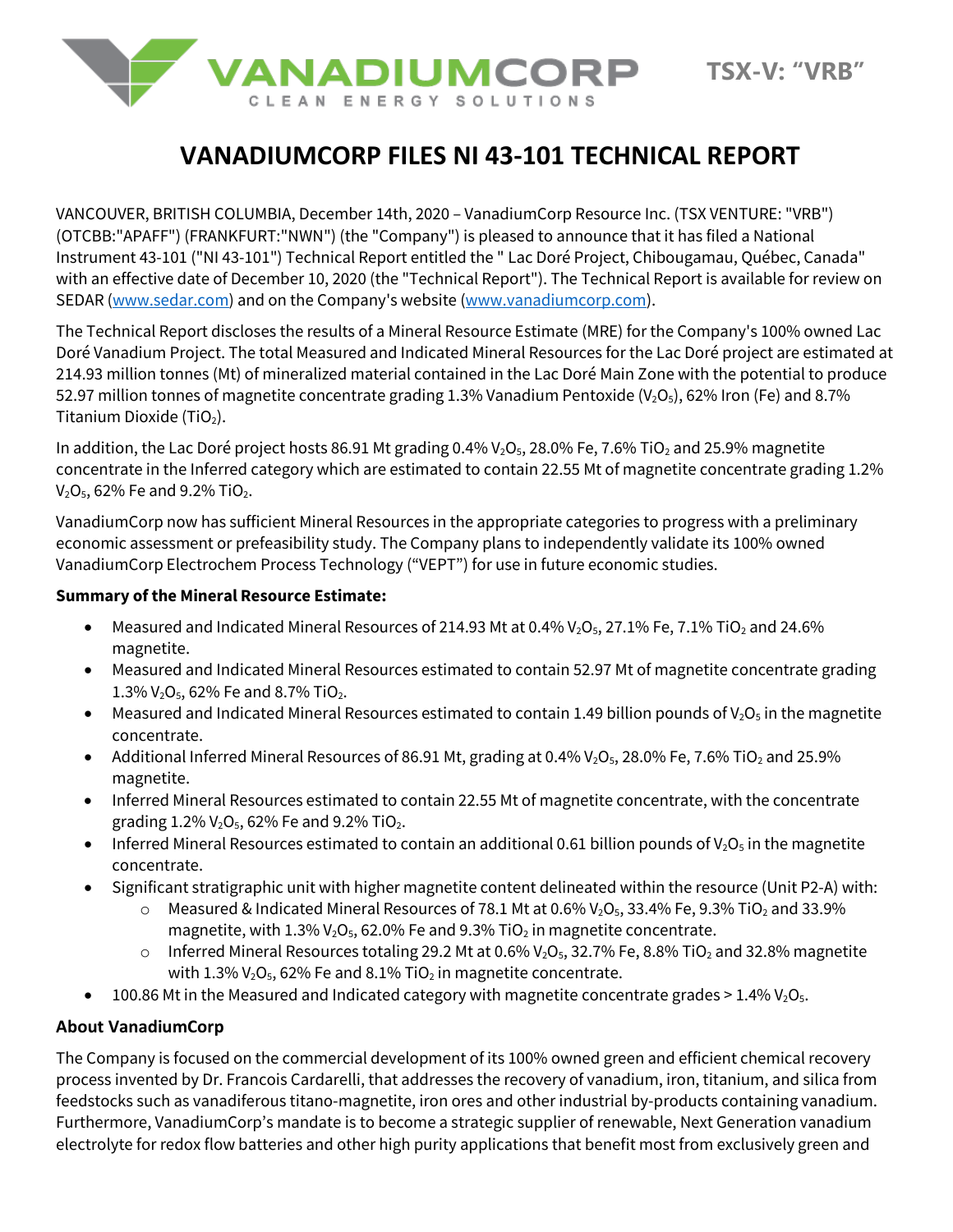

# **VANADIUMCORP FILES NI 43-101 TECHNICAL REPORT**

VANCOUVER, BRITISH COLUMBIA, December 14th, 2020 – VanadiumCorp Resource Inc. (TSX VENTURE: "VRB") (OTCBB:"APAFF") (FRANKFURT:"NWN") (the "Company") is pleased to announce that it has filed a National Instrument 43-101 ("NI 43-101") Technical Report entitled the " Lac Doré Project, Chibougamau, Québec, Canada" with an effective date of December 10, 2020 (the "Technical Report"). The Technical Report is available for review on SEDAR [\(www.sedar.com\)](http://www.sedar.com/) and on the Company's website [\(www.vanadiumcorp.com\)](http://www.vanadiumcorp.com/).

The Technical Report discloses the results of a Mineral Resource Estimate (MRE) for the Company's 100% owned Lac Doré Vanadium Project. The total Measured and Indicated Mineral Resources for the Lac Doré project are estimated at 214.93 million tonnes (Mt) of mineralized material contained in the Lac Doré Main Zone with the potential to produce 52.97 million tonnes of magnetite concentrate grading 1.3% Vanadium Pentoxide (V<sub>2</sub>O<sub>5</sub>), 62% Iron (Fe) and 8.7% Titanium Dioxide (TiO<sub>2</sub>).

In addition, the Lac Doré project hosts 86.91 Mt grading 0.4%  $V_2O_5$ , 28.0% Fe, 7.6% TiO<sub>2</sub> and 25.9% magnetite concentrate in the Inferred category which are estimated to contain 22.55 Mt of magnetite concentrate grading 1.2%  $V_2O_5$ , 62% Fe and 9.2% TiO<sub>2</sub>.

VanadiumCorp now has sufficient Mineral Resources in the appropriate categories to progress with a preliminary economic assessment or prefeasibility study. The Company plans to independently validate its 100% owned VanadiumCorp Electrochem Process Technology ("VEPT") for use in future economic studies.

#### **Summary of the Mineral Resource Estimate:**

- Measured and Indicated Mineral Resources of 214.93 Mt at 0.4%  $V_2O_5$ , 27.1% Fe, 7.1% TiO<sub>2</sub> and 24.6% magnetite.
- Measured and Indicated Mineral Resources estimated to contain 52.97 Mt of magnetite concentrate grading 1.3%  $V_2O_5$ , 62% Fe and 8.7% TiO<sub>2</sub>.
- Measured and Indicated Mineral Resources estimated to contain 1.49 billion pounds of  $V_2O_5$  in the magnetite concentrate.
- Additional Inferred Mineral Resources of 86.91 Mt, grading at 0.4%  $V_2O_5$ , 28.0% Fe, 7.6% TiO<sub>2</sub> and 25.9% magnetite.
- Inferred Mineral Resources estimated to contain 22.55 Mt of magnetite concentrate, with the concentrate grading  $1.2\%$   $V_2O_5$ , 62% Fe and 9.2% TiO<sub>2</sub>.
- Inferred Mineral Resources estimated to contain an additional 0.61 billion pounds of  $V_2O_5$  in the magnetite concentrate.
- Significant stratigraphic unit with higher magnetite content delineated within the resource (Unit P2-A) with:
	- $\circ$  Measured & Indicated Mineral Resources of 78.1 Mt at 0.6% V<sub>2</sub>O<sub>5</sub>, 33.4% Fe, 9.3% TiO<sub>2</sub> and 33.9% magnetite, with  $1.3\%$   $V_2O_5$ , 62.0% Fe and 9.3% TiO<sub>2</sub> in magnetite concentrate.
	- o Inferred Mineral Resources totaling 29.2 Mt at 0.6%  $V_2O_5$ , 32.7% Fe, 8.8% TiO<sub>2</sub> and 32.8% magnetite with 1.3%  $V_2O_5$ , 62% Fe and 8.1% TiO<sub>2</sub> in magnetite concentrate.
- 100.86 Mt in the Measured and Indicated category with magnetite concentrate grades  $> 1.4\%$  V<sub>2</sub>O<sub>5</sub>.

# **About VanadiumCorp**

The Company is focused on the commercial development of its 100% owned green and efficient chemical recovery process invented by Dr. Francois Cardarelli, that addresses the recovery of vanadium, iron, titanium, and silica from feedstocks such as vanadiferous titano-magnetite, iron ores and other industrial by-products containing vanadium. Furthermore, VanadiumCorp's mandate is to become a strategic supplier of renewable, Next Generation vanadium electrolyte for redox flow batteries and other high purity applications that benefit most from exclusively green and